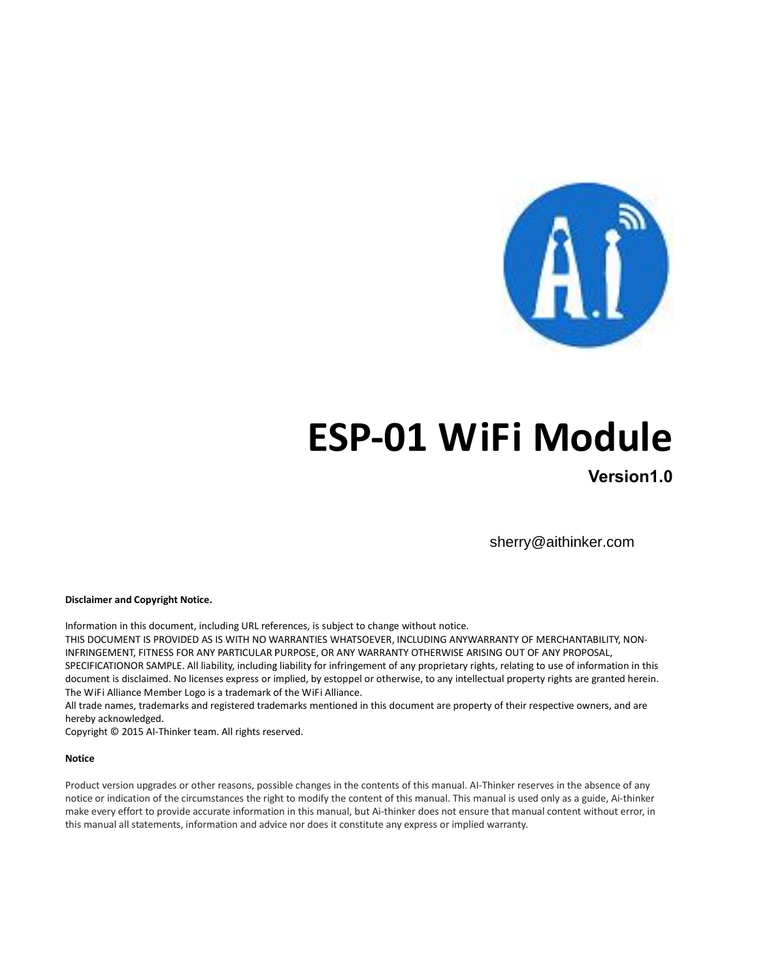

# **ESP-01 WiFi Module 01**

**Version1.0**

sherry@aithinker.com

**Disclaimer and Copyright Notice.**

Information in this document, including URL references, is subject to change without notice.

THIS DOCUMENT IS PROVIDED AS IS WITH NO WARRANTIES WHATSOEVER, INCLUDING ANYWARRANTY OF MERCHANTABILITY, NON-INFRINGEMENT, FITNESS FOR ANY PARTICULAR PURPOSE, OR ANY WARRANTY OTHERWISE ARISING OUT OF ANY PROPOSAL, SPECIFICATIONOR SAMPLE. All liability, including liability for infringement of any proprietary rights, relating to use of information in this document is disclaimed. No licenses express or implied, by estoppel or otherwise, to any intellectual property rights are granted herein. The WiFi Alliance Member Logo is a trademark of the WiFi Alliance.

The WiFi Alliance Member Logo is a trademark of the WiFi Alliance.<br>All trade names, trademarks and registered trademarks mentioned in this document are property of their respective owners, and are hereby acknowledged.

Copyright © 2015 AI-Thinker team. All rights reserved.

#### **Notice**

Product version upgrades or other reasons, possible changes in the contents of this manual. AI-Thinker reserves in the absence of any notice or indication of the circumstances the right to modify the content of this manual. This manual is used only as a guide, Ai-thinker make every effort to provide accurate information in this manual, but Ai-thinker does not ensure that manual content without error, in this manual all statements, information and advice nor does it constitute any express or implied warranty.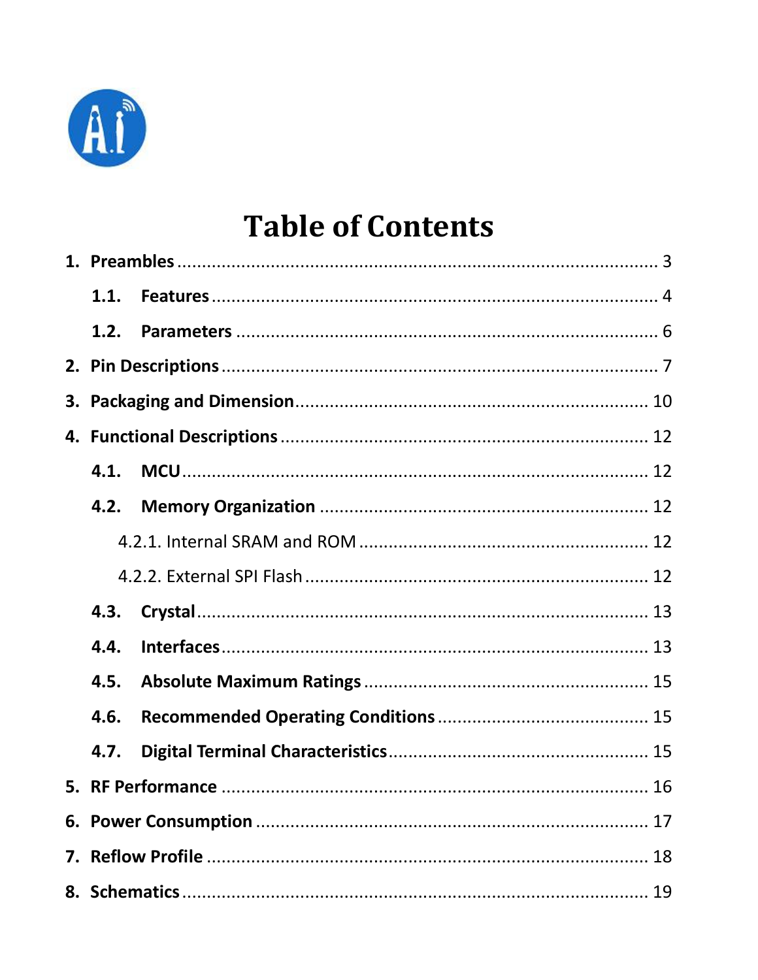

# **Table of Contents**

| 1.1. |  |
|------|--|
| 1.2. |  |
|      |  |
|      |  |
|      |  |
| 4.1. |  |
| 4.2. |  |
|      |  |
|      |  |
| 4.3. |  |
| 4.4. |  |
| 4.5. |  |
| 4.6. |  |
| 4.7. |  |
|      |  |
|      |  |
|      |  |
|      |  |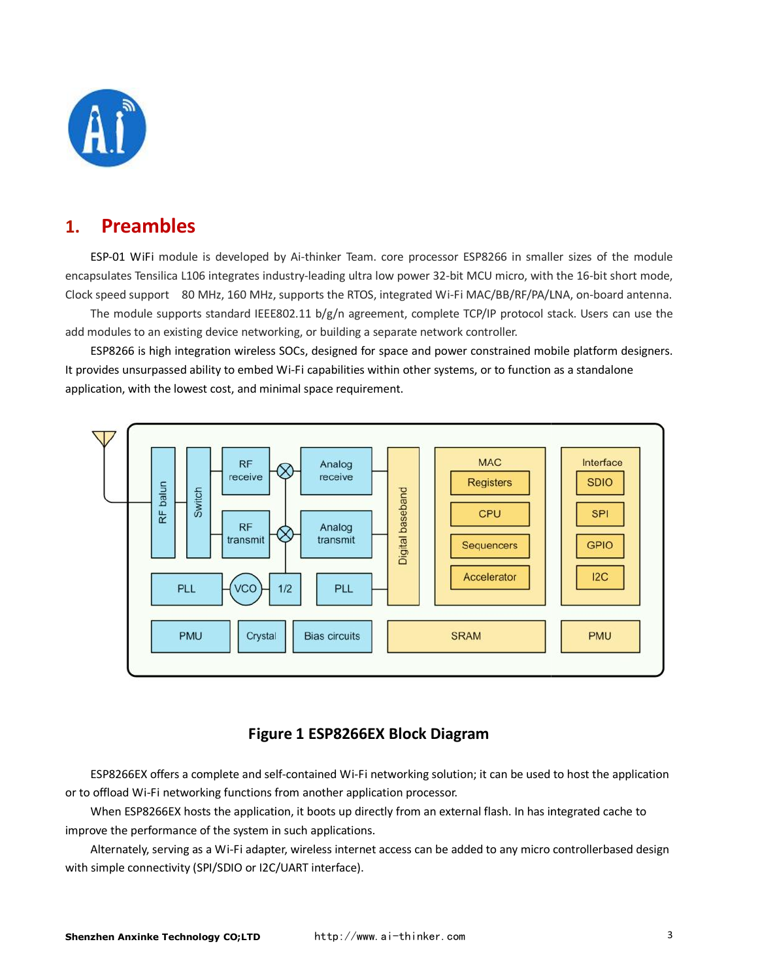

### <span id="page-2-0"></span>**1. Preambles**

ESP-01 WiFi module is developed by Ai-thinker Team. core processor ESP8266 in smaller sizes of the module encapsulates Tensilica L106 integrates industry-leading ultra low power 32-bit MCU micro, with the 16-bit short mode, Clock speed support 80 MHz, 160 MHz, supports the RTOS, integrated Wi-Fi MAC/BB/RF/PA/LNA, on-board antenna.

The module supports standard IEEE802.11 b/g/n agreement, complete TCP/IP protocol stack. Users can use the add modules to an existing device networking, or building a separate network controller. The module supports standard IEEE802.11 b/g/n agreement, complete TCP/IP protocol stack. Users can use the<br>modules to an existing device networking, or building a separate network controller.<br>ESP8266 is high integration wi

It provides unsurpassed ability to embed Wi-Fi capabilities within other systems, or to function as a standalone application, with the lowest cost, and minimal space requirement.



### **Figure 1 ESP8266EX Block Diagram**

ESP8266EX offers a complete and self-contained Wi-Fi networking solution; it can be used to host or to offload Wi-Fi networking functions from another application processor.

When ESP8266EX hosts the application, it boots up directly from an external flash. In has integrated cache to improve the performance of the system in such applications.

Alternately, serving as a Wi-Fi adapter, wireless internet access can be added to any micro controllerbased design with simple connectivity (SPI/SDIO or I2C/UART interface). system in such applications.<br>Fi adapter, wireless internet access can be added to any micro controllerbased design<br>O or I2C/UART interface).<br>**D;LTD** http://www.ai-thinker.com wireless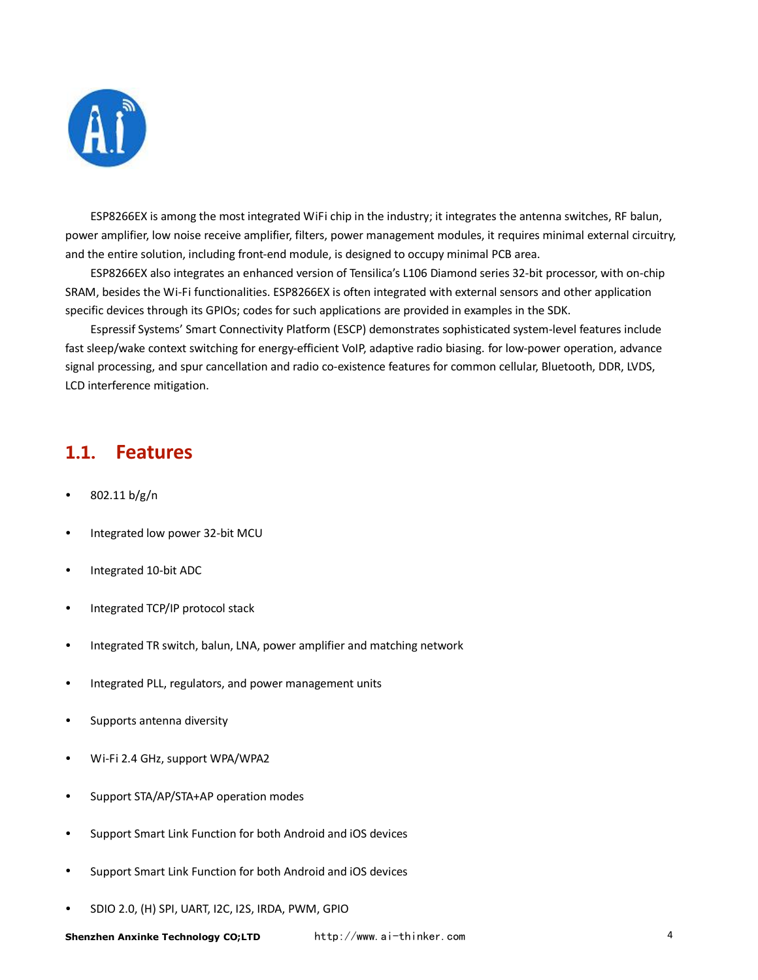

<span id="page-3-0"></span>ESP8266EX is among the most integrated WiFi chip in the industry; it integrates the antenna switches, RF balun, power amplifier, low noise receive amplifier, filters, power management modules, it requires minimal external circuitry, and the entire solution, including front-end module, is designed to occupy minimal PCB area. er amplifier, low noise receive amplifier, filters, power management modules, it requires minimal external circuitr<br>:he entire solution, including front-end module, is designed to occupy minimal PCB area.<br>ESP8266EX also in

SRAM, besides the Wi-Fi functionalities. ESP8266EX is often integrated with external sensors and other application specific devices through its GPIOs; codes for such applications are provided in examples in the SDK.

Espressif Systems' Smart Connectivity Platform (ESCP) demonstrates sophisticated system-level features include fast sleep/wake context switching for energy-efficient VoIP, adaptive radio biasing. for low-power operation, advance fast sleep/wake context switching for energy-efficient VoIP, adaptive radio biasing. for low-power operation, advanc<br>signal processing, and spur cancellation and radio co-existence features for common cellular, Bluetooth, LCD interference mitigation.

### 1.1. **Features**

- 802.11 b/g/n
- Integrated low power 32-bit MCU
- Integrated 10-bit ADC
- Integrated TCP/IP protocol stack
- Integrated TR switch, balun, LNA, power amplifier and matching network
- Integrated PLL, regulators, and power management units
- Supports antenna diversity
- Wi-Fi 2.4 GHz, support WPA/WPA2
- Support STA/AP/STA+AP operation modes
- Support Smart Link Function for both Android and iOS devices
- Support Smart Link Function for both Android and iOS devices tion for both Android and<br>tion for both Android and<br>I2C, I2S, IRDA, PWM, GPIO
- SDIO 2.0, (H) SPI, UART, I2C, I2S, IRDA, PWM,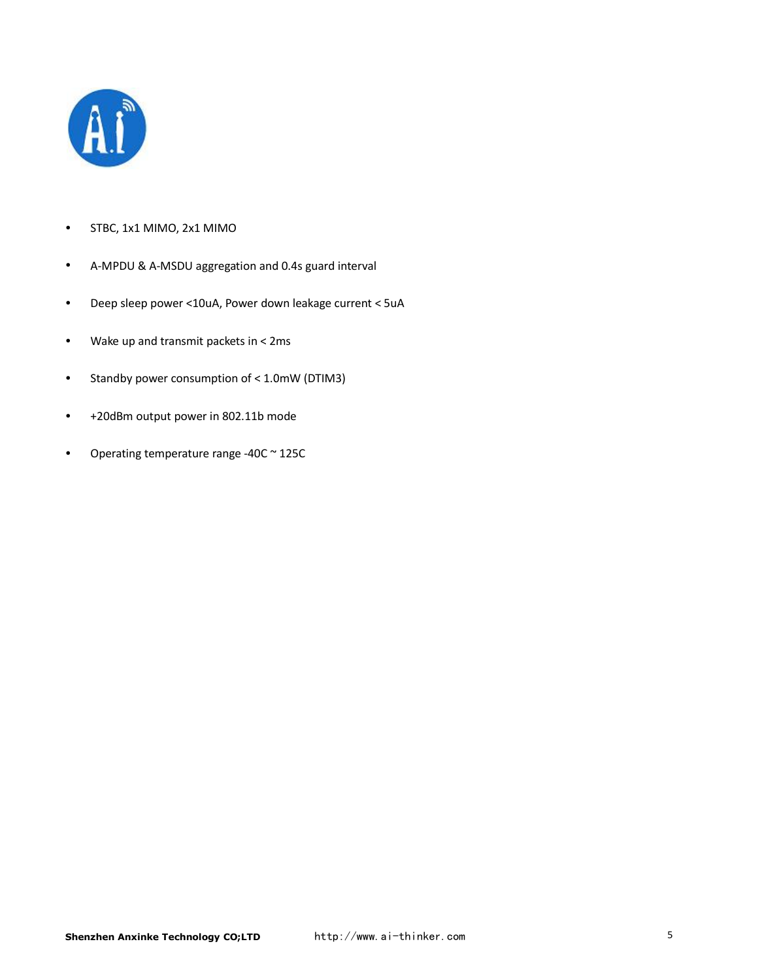

- STBC, 1x1 MIMO, 2x1 MIMO
- A-MPDU & A-MSDU aggregation and 0.4s guard interval
- Deep sleep power <10uA, Power down leakage current < 5uA
- Wake up and transmit packets in < 2ms
- Standby power consumption of < 1.0mW (DTIM3)
- +20dBm output power in 802.11b mode
- Operating temperature range -40C ~ 125C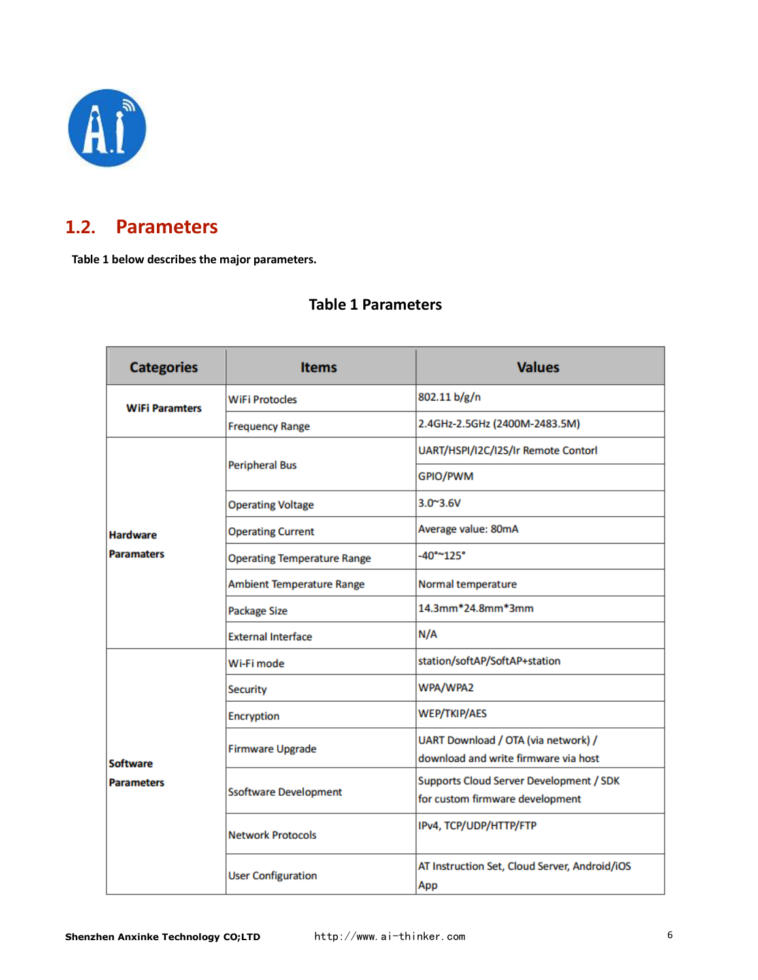

## <span id="page-5-0"></span>1.2. **Parameters**

**Table 1 below describes the major parameters.**

### **Table 1 Parameters**

| <b>Categories</b>     | <b>Items</b>                       | <b>Values</b>                                                               |
|-----------------------|------------------------------------|-----------------------------------------------------------------------------|
| <b>WiFi Paramters</b> | <b>WiFi Protocles</b>              | 802.11 b/g/n                                                                |
|                       | <b>Frequency Range</b>             | 2.4GHz-2.5GHz (2400M-2483.5M)                                               |
|                       |                                    | UART/HSPI/I2C/I2S/Ir Remote Contorl                                         |
|                       | <b>Peripheral Bus</b>              | GPIO/PWM                                                                    |
|                       | <b>Operating Voltage</b>           | $3.0^{\circ}3.6V$                                                           |
| <b>Hardware</b>       | <b>Operating Current</b>           | Average value: 80mA                                                         |
| <b>Paramaters</b>     | <b>Operating Temperature Range</b> | $-40^{\circ}$ ~125°                                                         |
|                       | <b>Ambient Temperature Range</b>   | Normal temperature                                                          |
|                       | Package Size                       | 14.3mm*24.8mm*3mm                                                           |
|                       | <b>External Interface</b>          | N/A                                                                         |
|                       | Wi-Fi mode                         | station/softAP/SoftAP+station                                               |
|                       | <b>Security</b>                    | WPA/WPA2                                                                    |
|                       | Encryption                         | <b>WEP/TKIP/AES</b>                                                         |
| <b>Software</b>       | <b>Firmware Upgrade</b>            | UART Download / OTA (via network) /<br>download and write firmware via host |
| <b>Parameters</b>     | <b>Ssoftware Development</b>       | Supports Cloud Server Development / SDK<br>for custom firmware development  |
|                       | <b>Network Protocols</b>           | IPv4, TCP/UDP/HTTP/FTP                                                      |
|                       | <b>User Configuration</b>          | AT Instruction Set, Cloud Server, Android/iOS<br>App                        |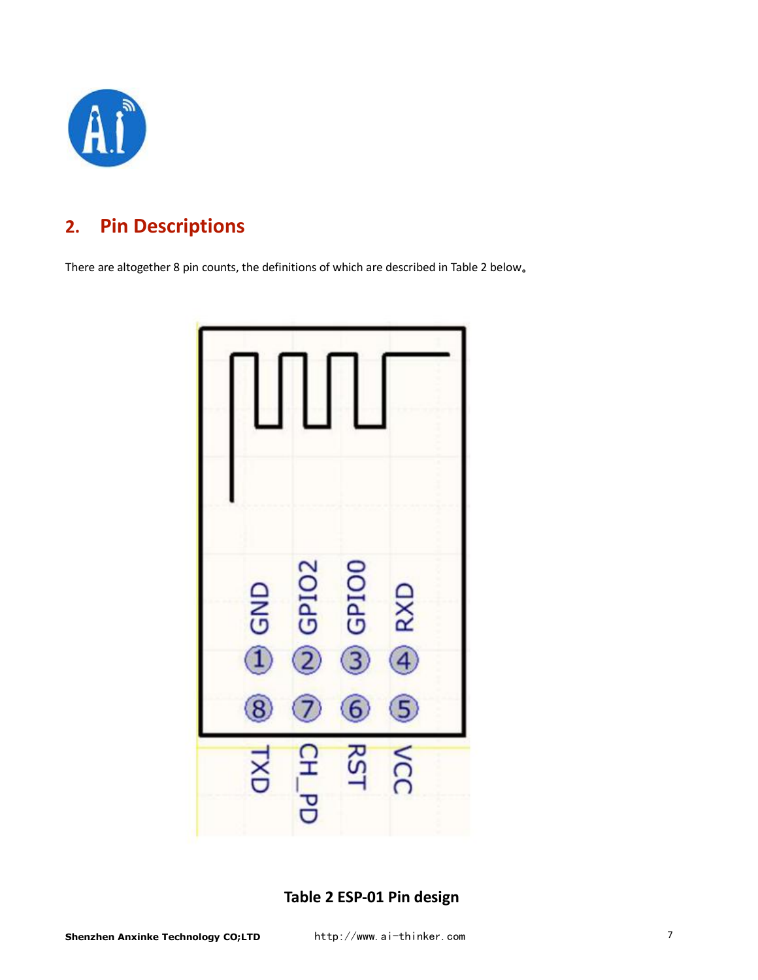

# <span id="page-6-0"></span>**2. Pin Descriptions**

There are altogether 8 pin counts, the definitions of which are described in Table 2 below 。



### **Table 2 ESP-01 Pin design**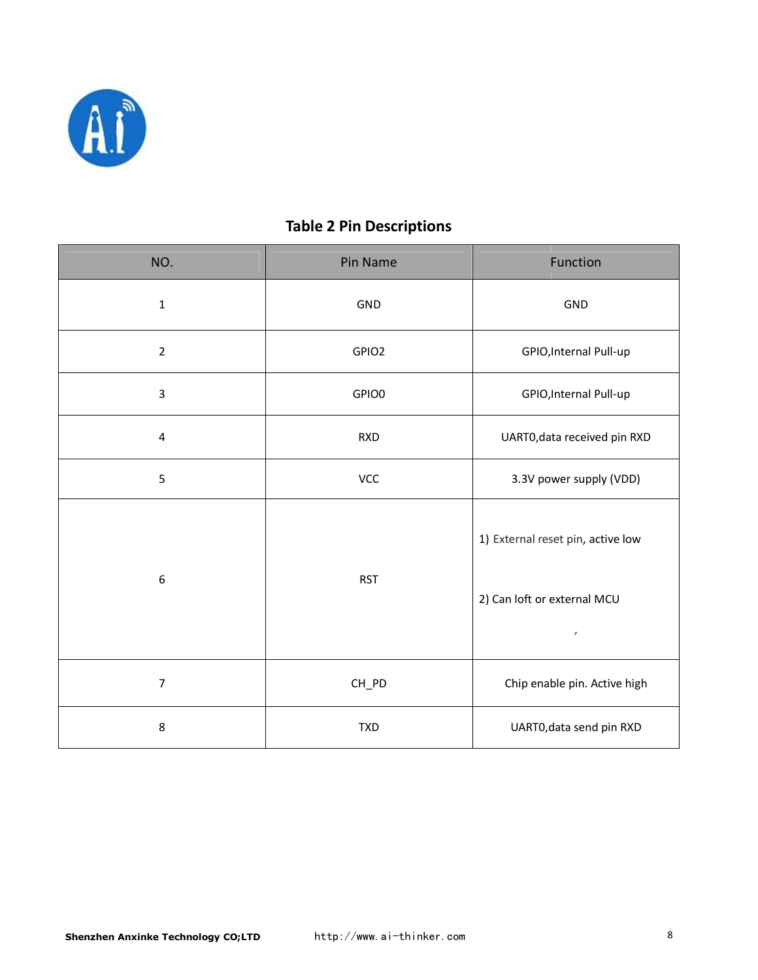

### **Table 2 Pin Descriptions**

| NO.              | Pin Name   | Function                                                                     |
|------------------|------------|------------------------------------------------------------------------------|
| $1\,$            | GND        | GND                                                                          |
| $\overline{2}$   | GPIO2      | GPIO, Internal Pull-up                                                       |
| $\overline{3}$   | GPIO0      | GPIO, Internal Pull-up                                                       |
| $\sqrt{4}$       | <b>RXD</b> | UART0, data received pin RXD                                                 |
| 5                | VCC        | 3.3V power supply (VDD)                                                      |
| $\boldsymbol{6}$ | <b>RST</b> | 1) External reset pin, active low<br>2) Can loft or external MCU<br>$\prime$ |
| $\overline{7}$   | CH_PD      | Chip enable pin. Active high                                                 |
| $\,8\,$          | <b>TXD</b> | UART0, data send pin RXD                                                     |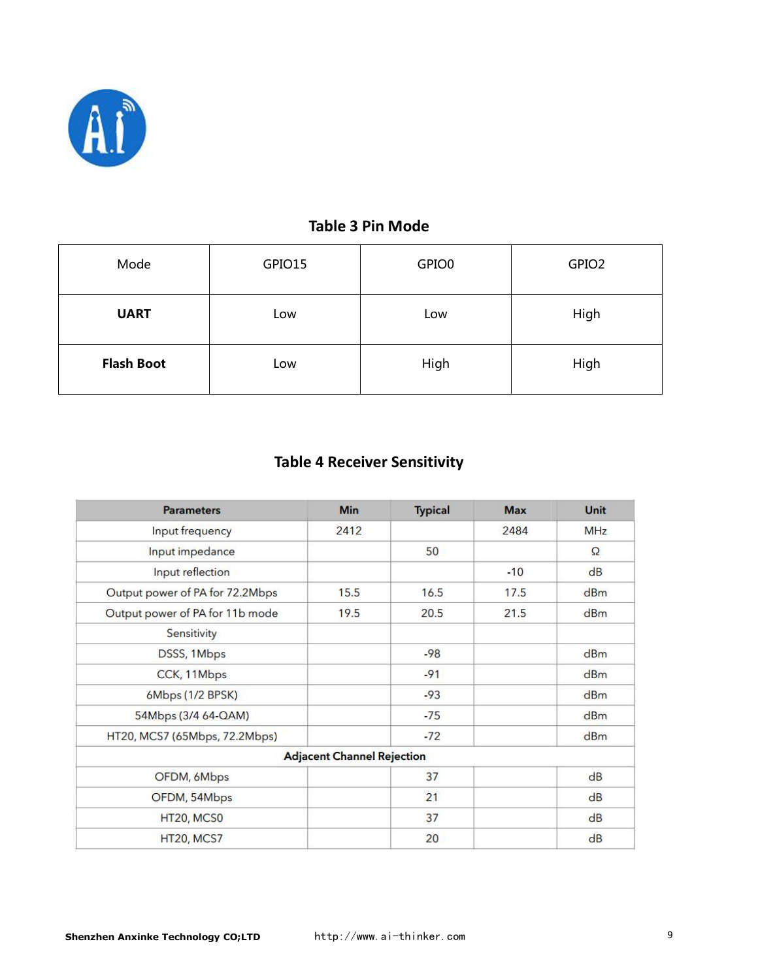

### **Table 3 Pin Mode**

| Mode              | GPIO15 | GPIO0 | GPIO <sub>2</sub> |
|-------------------|--------|-------|-------------------|
| <b>UART</b>       | Low    | Low   | High              |
| <b>Flash Boot</b> | Low    | High  | High              |

### **Table 4 Receiver Sensitivity**

| <b>Parameters</b>               | Min                               | <b>Typical</b> | <b>Max</b> | Unit     |
|---------------------------------|-----------------------------------|----------------|------------|----------|
| Input frequency                 | 2412                              |                | 2484       | MHz      |
| Input impedance                 |                                   | 50             |            | $\Omega$ |
| Input reflection                |                                   |                | $-10$      | dB       |
| Output power of PA for 72.2Mbps | 15.5                              | 16.5           | 17.5       | dBm      |
| Output power of PA for 11b mode | 19.5                              | 20.5           | 21.5       | dBm      |
| Sensitivity                     |                                   |                |            |          |
| DSSS, 1Mbps                     |                                   | $-98$          |            | dBm      |
| CCK, 11Mbps                     |                                   | $-91$          |            | dBm      |
| 6Mbps (1/2 BPSK)                |                                   | $-93$          |            | dBm      |
| 54Mbps (3/4 64-QAM)             |                                   | $-75$          |            | dBm      |
| HT20, MCS7 (65Mbps, 72.2Mbps)   |                                   | $-72$          |            | dBm      |
|                                 | <b>Adjacent Channel Rejection</b> |                |            |          |
| OFDM, 6Mbps                     |                                   | 37             |            | dB       |
| OFDM, 54Mbps                    |                                   | 21             |            | dB       |
| HT20, MCS0                      |                                   | 37             |            | dB       |
| HT20, MCS7                      |                                   | 20             |            | dB       |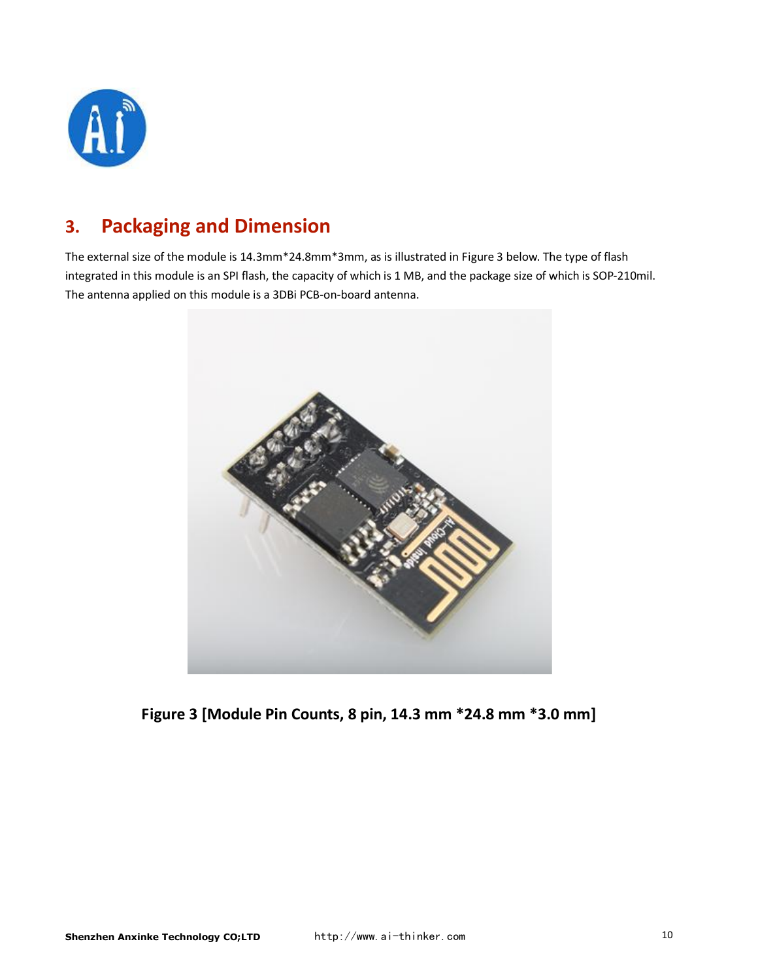

# <span id="page-9-0"></span>**3. Packaging and Dimension**

The external size of the module is 14.3mm\*24.8mm\*3mm, as is illustrated in Figure 3 below. The type of flash integrated in this module is an SPI flash, the capacity of which is 1 MB, and the package size of which is SOP-210mil. The antenna applied on this module is a 3DBi PCB-on-board antenna.



**Figure 3 [Module Pin Counts, 8 pin, 14.3 mm \*24.8 mm \*3.0 mm] 3.0 mm]**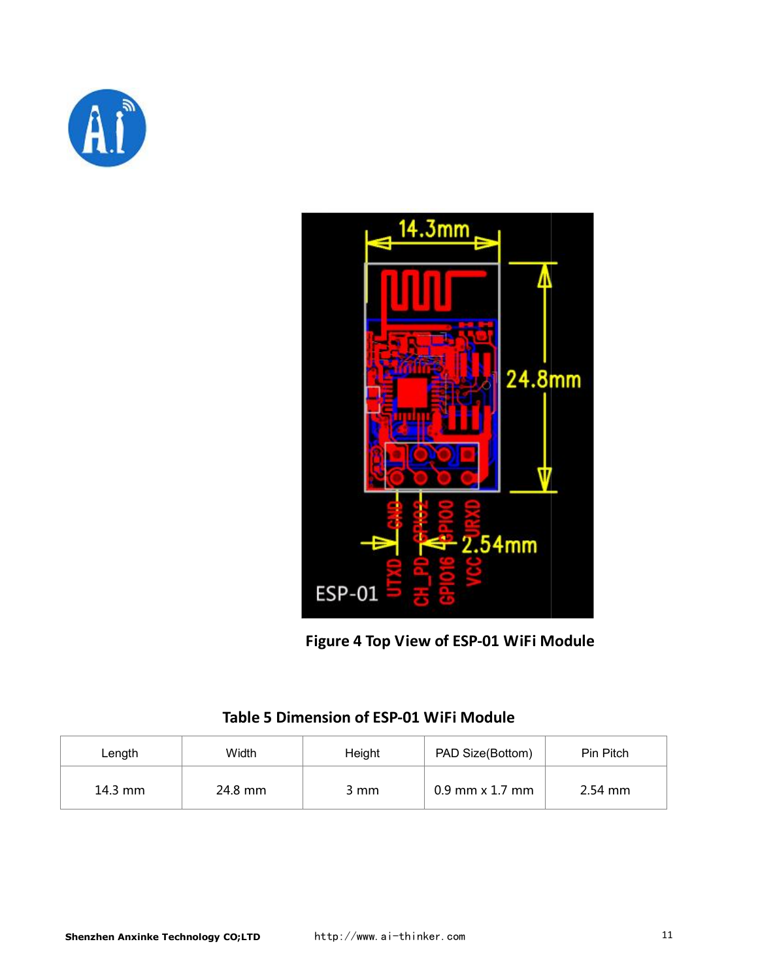



**Figure 4 Top View of ESP-01 WiFi Module**

| Length  | Width   | Height | PAD Size(Bottom)  | Pin Pitch |
|---------|---------|--------|-------------------|-----------|
| 14.3 mm | 24.8 mm | 3 mm   | $0.9$ mm x 1.7 mm | $2.54$ mm |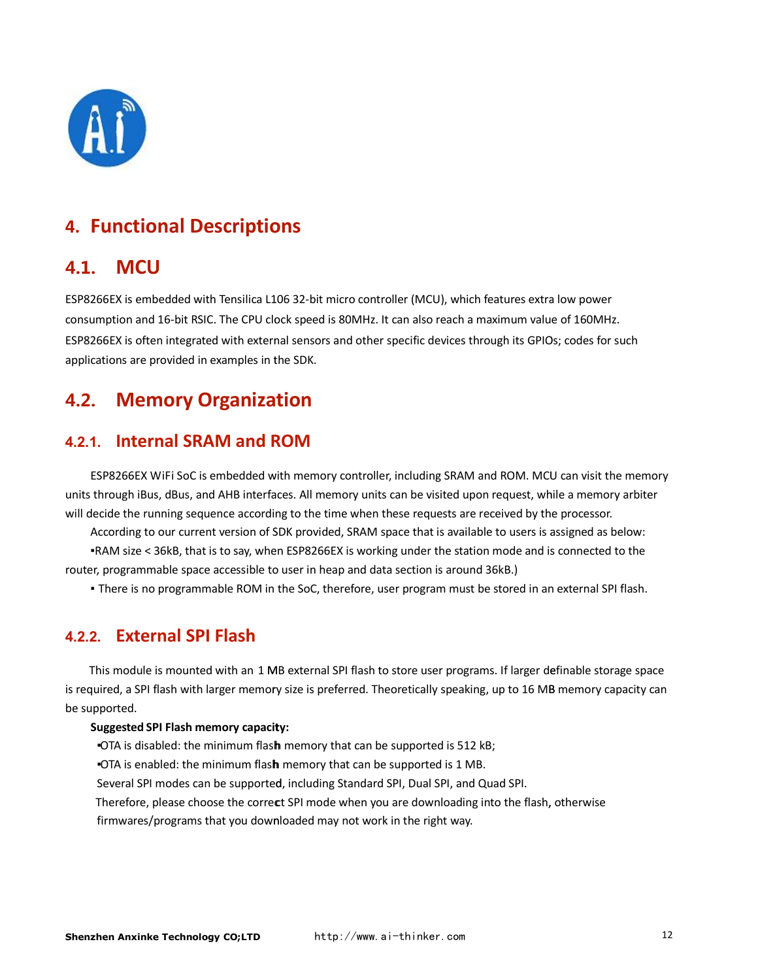

# <span id="page-11-0"></span>**4. Functional Descriptions**

### 4.1. **MCU**

ESP8266EX is embedded with Tensilica L106 32-bit micro controller (MCU), which features extra low power consumption and 16-bit RSIC. The CPU clock speed is 80MHz. It can also reach a maximum value of 160MHz. ESP8266EX is often integrated with external sensors and other specific devices through its GPIOs; codes for such applications are provided in examples in the SDK.

## 4.2. **Memory Organization**

### **4.2.1. Internal SRAM and ROM**

ESP8266EX WiFi SoC is embedded with memory controller, including SRAM and ROM. MCU can visit the memory units through iBus, dBus, and AHB interfaces. All memory units can be visited upon request, while a memory arbiter will decide the running sequence according to the time when these requests are received by the processor.

According to our current version of SDK provided, SRAM space that is available to users is assigned According to space as below: ▪RAM size < 36kB, that is to say, when ESP8266EX is working under the station mode and RAM is connected to the

router, programmable space accessible to user in heap and data section is around 36kB.)

Inere is no programmable ROM in the SoC, therefore, user program must be stored in an external SPI flash.

### **4.2.2. External SPI Flash**

This module is mounted with an 1 MB external SPI flash to store user programs. If larger definable storage space is required, a SPI flash with larger memory size is preferred. Theoretically speaking, up to 16 MB memory capacity can be supported.

#### **Suggested SPI Flash memory capacity:**

. OTA is disabled: the minimum flash memory that can be supported is 512 kB;

**• OTA** is enabled: the minimum flash memory that can be supported is 1 MB.

Several SPI modes can be supported, including Standard SPI, Dual SPI, and Quad SPI.

Therefore, please choose the correct SPI mode when you are downloading into the flash, otherwise

firmwares/programs that you downloaded may not work in the right way.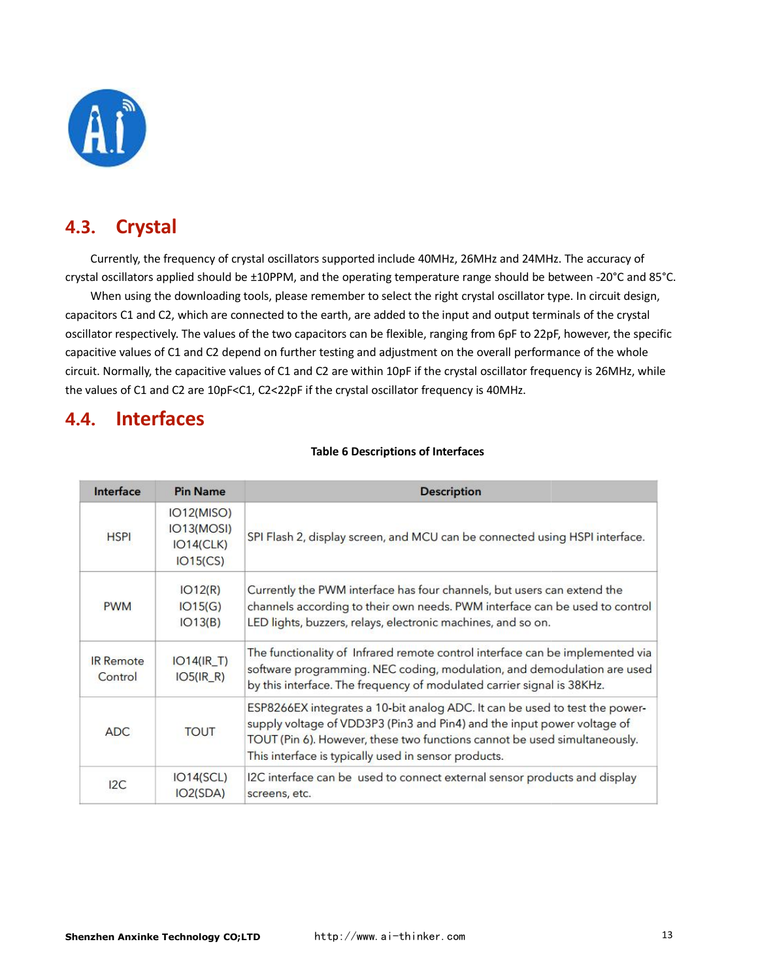

# <span id="page-12-0"></span>4.3. **Crystal**

Currently, the frequency of crystal oscillators supported include 40MHz, 26MHz and 24MHz. The accuracy of crystal oscillators applied should be ±10PPM, and the operating temperature range should be between -20°C and 85°C.

When using the downloading tools, please remember to select the right crystal oscillator type. In circuit design, capacitors C1 and C2, which are connected to the earth, are added to the input and output terminals of the crystal oscillator respectively. The values of the two capacitors can be flexible, ranging from 6pF to 22pF, however, the specific capacitive values of C1 and C2 depend on further testing and adjustment on the overall performance of the whole circuit. Normally, the capacitive values of C1 and C2 are within 10pF if the crystal oscillator frequency is 26MHz, while the values of C1 and C2 are 10pF<C1, C2<22pF if the crystal oscillator frequency is 40MHz.

### 4.4. **Interfaces**

| Interface                   | <b>Pin Name</b>                                   | <b>Description</b>                                                                                                                                                                                                                                                                          |
|-----------------------------|---------------------------------------------------|---------------------------------------------------------------------------------------------------------------------------------------------------------------------------------------------------------------------------------------------------------------------------------------------|
| <b>HSPI</b>                 | IO12(MISO)<br>IO13(MOSI)<br>IO14(CLK)<br>IO15(CS) | SPI Flash 2, display screen, and MCU can be connected using HSPI interface.                                                                                                                                                                                                                 |
| <b>PWM</b>                  | IO12(R)<br>IO15(G)<br>IO13(B)                     | Currently the PWM interface has four channels, but users can extend the<br>channels according to their own needs. PWM interface can be used to control<br>LED lights, buzzers, relays, electronic machines, and so on.                                                                      |
| <b>IR Remote</b><br>Control | $IO14(IR_T)$<br>$IO5(IR_R)$                       | The functionality of Infrared remote control interface can be implemented via<br>software programming. NEC coding, modulation, and demodulation are used<br>by this interface. The frequency of modulated carrier signal is 38KHz.                                                          |
| <b>ADC</b>                  | <b>TOUT</b>                                       | ESP8266EX integrates a 10-bit analog ADC. It can be used to test the power-<br>supply voltage of VDD3P3 (Pin3 and Pin4) and the input power voltage of<br>TOUT (Pin 6). However, these two functions cannot be used simultaneously.<br>This interface is typically used in sensor products. |
| 12C                         | IO14(SCL)<br>IO2(SDA)                             | I2C interface can be used to connect external sensor products and display<br>screens, etc.                                                                                                                                                                                                  |

#### **Table 6 Descriptions of Interfaces**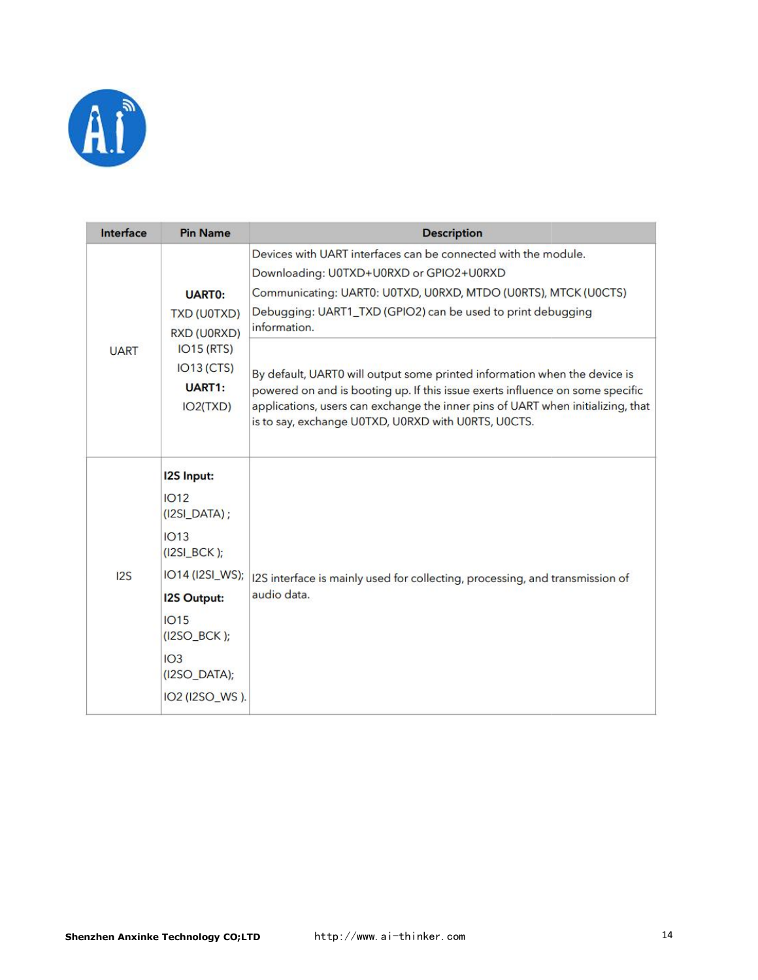

| Interface   | <b>Pin Name</b>                                               | <b>Description</b>                                                                                                                                                                                                                                                                                   |
|-------------|---------------------------------------------------------------|------------------------------------------------------------------------------------------------------------------------------------------------------------------------------------------------------------------------------------------------------------------------------------------------------|
|             |                                                               | Devices with UART interfaces can be connected with the module.                                                                                                                                                                                                                                       |
|             |                                                               | Downloading: U0TXD+U0RXD or GPIO2+U0RXD                                                                                                                                                                                                                                                              |
|             | <b>UARTO:</b>                                                 | Communicating: UART0: U0TXD, U0RXD, MTDO (U0RTS), MTCK (U0CTS)                                                                                                                                                                                                                                       |
|             | <b>TXD (U0TXD)</b><br>RXD (U0RXD)                             | Debugging: UART1_TXD (GPIO2) can be used to print debugging<br>information.                                                                                                                                                                                                                          |
| <b>UART</b> | IO15 (RTS)<br>$IO13$ (CTS)<br>UART <sub>1</sub> :<br>IO2(TXD) | By default, UART0 will output some printed information when the device is<br>powered on and is booting up. If this issue exerts influence on some specific<br>applications, users can exchange the inner pins of UART when initializing, that<br>is to say, exchange U0TXD, U0RXD with U0RTS, U0CTS. |
|             | <b>12S Input:</b>                                             |                                                                                                                                                                                                                                                                                                      |
|             | 1012<br>$(IZSI_DATA)$ ;                                       |                                                                                                                                                                                                                                                                                                      |
|             | IO13<br>$(12SI_BCK);$                                         |                                                                                                                                                                                                                                                                                                      |
| 12S         | IO14 (I2SI_WS);                                               | I2S interface is mainly used for collecting, processing, and transmission of                                                                                                                                                                                                                         |
|             | <b>12S Output:</b>                                            | audio data.                                                                                                                                                                                                                                                                                          |
|             | 1015<br>$($ I2SO_BCK $)$ ;                                    |                                                                                                                                                                                                                                                                                                      |
|             | IO3<br>$(IZSO_DATA);$                                         |                                                                                                                                                                                                                                                                                                      |
|             | IO2 (I2SO_WS).                                                |                                                                                                                                                                                                                                                                                                      |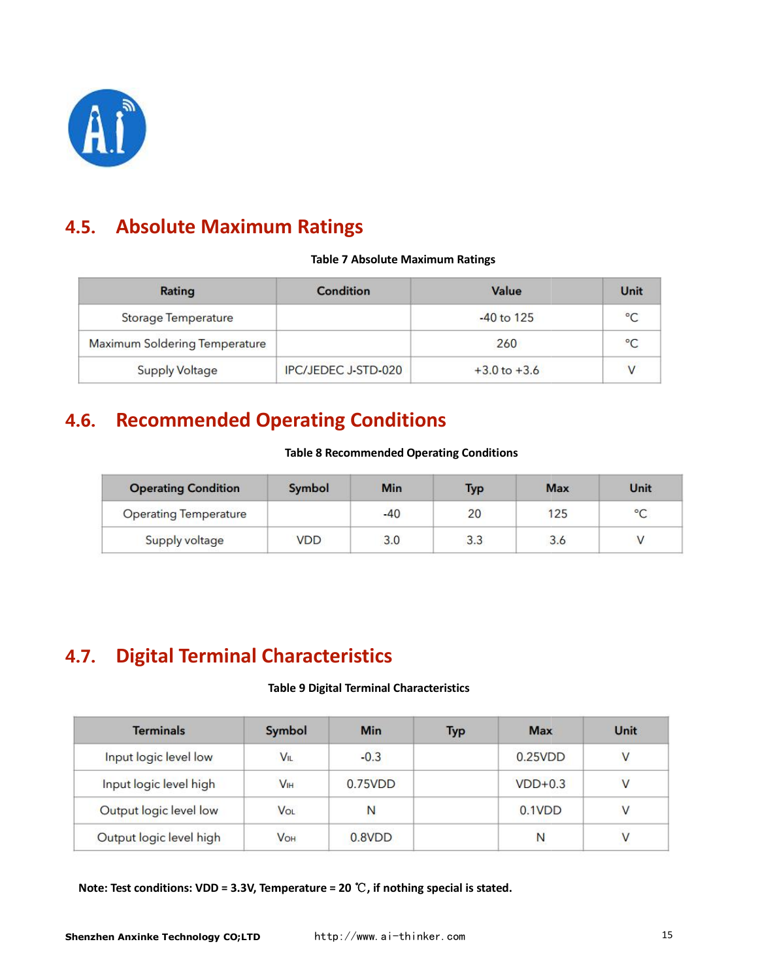

# <span id="page-14-0"></span>4.5. **Absolute Maximum Ratings**

#### **Table 7 Absolute Maximum Ratings**

| Rating                        | Condition                  | Value            | Unit    |
|-------------------------------|----------------------------|------------------|---------|
| <b>Storage Temperature</b>    |                            | $-40$ to 125     | $\circ$ |
| Maximum Soldering Temperature |                            | 260              |         |
| <b>Supply Voltage</b>         | <b>IPC/JEDEC J-STD-020</b> | $+3.0$ to $+3.6$ |         |

# 4.6. **Recommended Operating Conditions**

#### **Table 8 Recommended Operating Conditions**

| <b>Operating Condition</b>   | Symbol     | <b>Min</b> | Typ | <b>Max</b> | Unit            |
|------------------------------|------------|------------|-----|------------|-----------------|
| <b>Operating Temperature</b> |            | $-40$      | 20  | 125        | $\rm ^{\circ}C$ |
| Supply voltage               | <b>VDD</b> | 3.0        | 3.3 | 3.6        |                 |

# 4.7. **Digital Terminal Characteristics Terminal 9 Digital Terminal Characteristics**

#### **Table 9 Digital Terminal Characteristics**

| <b>Terminals</b>        | Symbol          | <b>Min</b> | <b>Typ</b> | <b>Max</b> | Unit |
|-------------------------|-----------------|------------|------------|------------|------|
| Input logic level low   | <b>VIL</b>      | $-0.3$     |            | 0.25VDD    |      |
| Input logic level high  | V <sub>IH</sub> | 0.75VDD    |            | $VDD+0.3$  |      |
| Output logic level low  | <b>VOL</b>      | N          |            | 0.1VDD     |      |
| Output logic level high | <b>VOH</b>      | 0.8VDD     |            | N          |      |

**Note: Test conditions: VDD = 3.3V, Temperature = 20**  ℃**, if nothing special is stated.**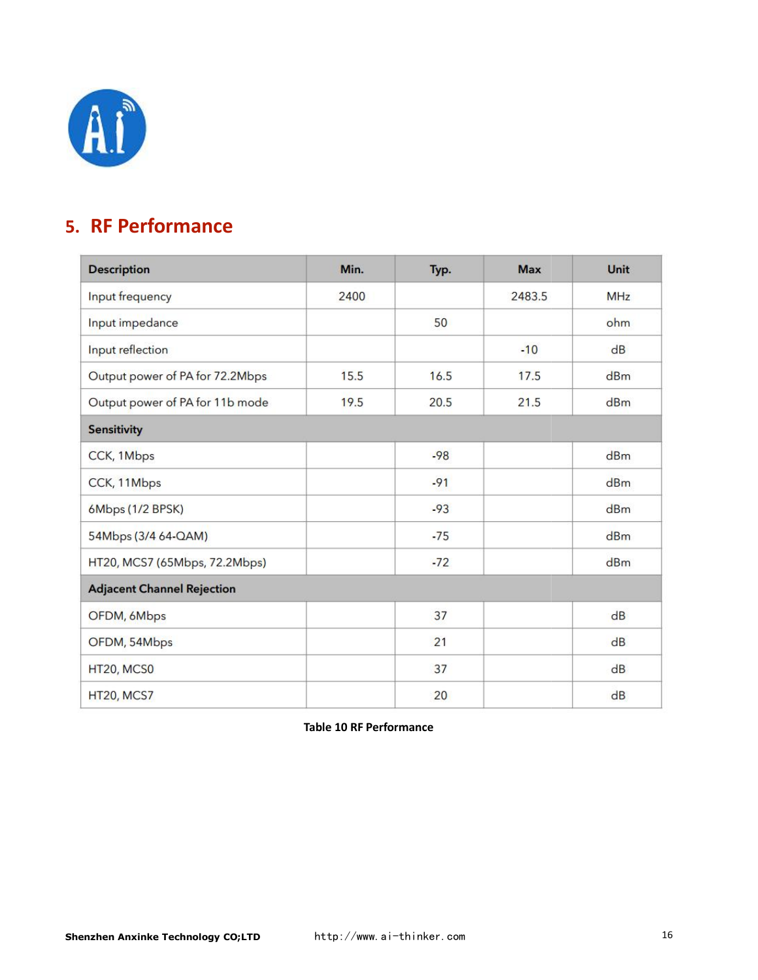

# <span id="page-15-0"></span>**5. RF Performance**

| <b>Description</b>                | Min. | Typ.  | <b>Max</b> | <b>Unit</b> |
|-----------------------------------|------|-------|------------|-------------|
| Input frequency                   | 2400 |       | 2483.5     | <b>MHz</b>  |
| Input impedance                   |      | 50    |            | ohm         |
| Input reflection                  |      |       | $-10$      | dB          |
| Output power of PA for 72.2Mbps   | 15.5 | 16.5  | 17.5       | dBm         |
| Output power of PA for 11b mode   | 19.5 | 20.5  | 21.5       | dBm         |
| <b>Sensitivity</b>                |      |       |            |             |
| CCK, 1Mbps                        |      | $-98$ |            | dBm         |
| CCK, 11Mbps                       |      | $-91$ |            | dBm         |
| 6Mbps (1/2 BPSK)                  |      | $-93$ |            | dBm         |
| 54Mbps (3/4 64-QAM)               |      | $-75$ |            | dBm         |
| HT20, MCS7 (65Mbps, 72.2Mbps)     |      | $-72$ |            | dBm         |
| <b>Adjacent Channel Rejection</b> |      |       |            |             |
| OFDM, 6Mbps                       |      | 37    |            | dB          |
| OFDM, 54Mbps                      |      | 21    |            | dB          |
| HT20, MCS0                        |      | 37    |            | dB          |
| HT20, MCS7                        |      | 20    |            | dB          |

**Table 10 RF Performance**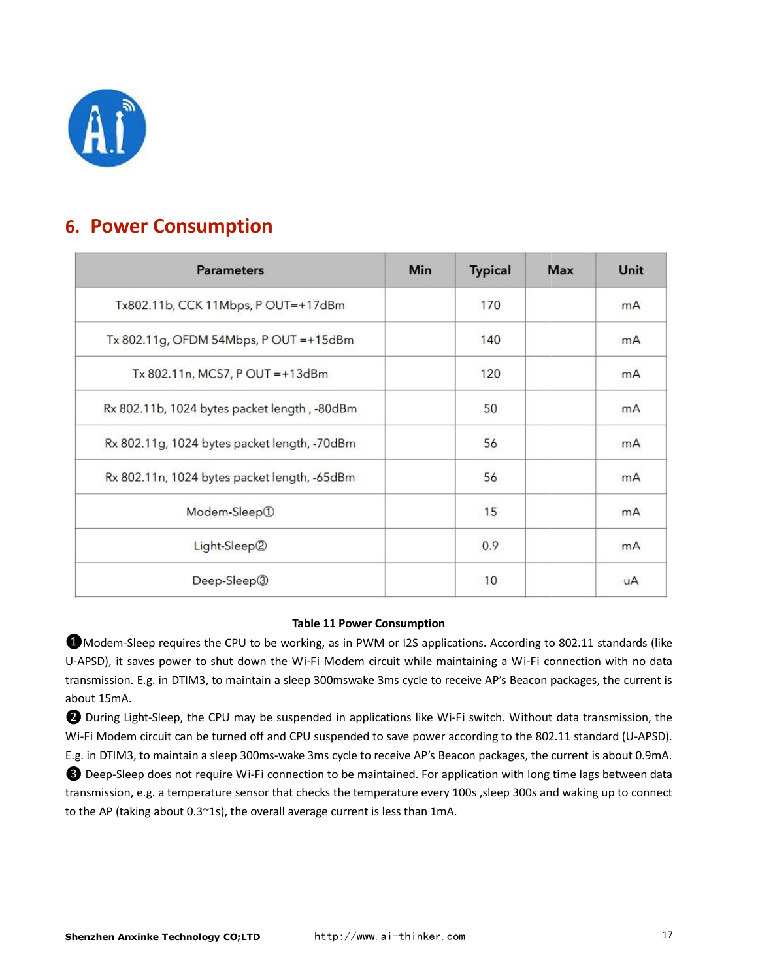

# <span id="page-16-0"></span>**6. Power Consumption**

| <b>Parameters</b>                            | <b>Min</b> | <b>Typical</b> | <b>Max</b> | Unit      |
|----------------------------------------------|------------|----------------|------------|-----------|
| Tx802.11b, CCK 11Mbps, P OUT=+17dBm          |            | 170            |            | mA        |
| Tx 802.11g, OFDM 54Mbps, P OUT = +15dBm      |            | 140            |            | mA        |
| Tx 802.11n, MCS7, POUT = +13dBm              |            | 120            |            | mA        |
| Rx 802.11b, 1024 bytes packet length, -80dBm |            | 50             |            | mA        |
| Rx 802.11g, 1024 bytes packet length, -70dBm |            | 56             |            | mA        |
| Rx 802.11n, 1024 bytes packet length, -65dBm |            | 56             |            | mA        |
| Modem-Sleep①                                 |            | 15             |            | mA        |
| Light-Sleep2                                 |            | 0.9            |            | mA        |
| Deep-Sleep <sup>3</sup>                      |            | 10             |            | <b>uA</b> |

#### **Table 11 Power Consumption**

**O** Modem-Sleep requires the CPU to be working, as in PWM or I2S applications. According to 802.11 standards (like **ID** Modem-Sleep requires the CPU to be working, as in PWM or I2S applications. According to 802.11 standards (like<br>U-APSD), it saves power to shut down the Wi-Fi Modem circuit while maintaining a Wi-Fi connection with no transmission. E.g. in DTIM3, to maintain a sleep 300mswake 3ms cycle to receive AP's Beacon packages, the current is about 15mA. raintaining a Wi-Fi connection with no data<br>receive AP's Beacon packages, the current is<br>Vi-Fi switch. Without data transmission, the

**2** During Light-Sleep, the CPU may be suspended in applications like Wi-Fi switch. Without data Wi-Fi Modem circuit can be turned off and CPU suspended to save power according to the 802.11 standard (U-APSD). E.g. in DTIM3, to maintain a sleep 300ms-wake 3ms cycle to receive AP's Beacon packages, the current is about 0.9mA. E.g. in DTIM3, to maintain a sleep 300ms-wake 3ms cycle to receive AP's Beacon packages, the current is about 0.9mA.<br>© Deep-Sleep does not require Wi-Fi connection to be maintained. For application with long time lags betw

transmission, e.g. a temperature sensor that checks the temperature every 100s ,sleep 300s and waking up to connect to the AP (taking about 0.3~1s), the overall average current is less than 1mA.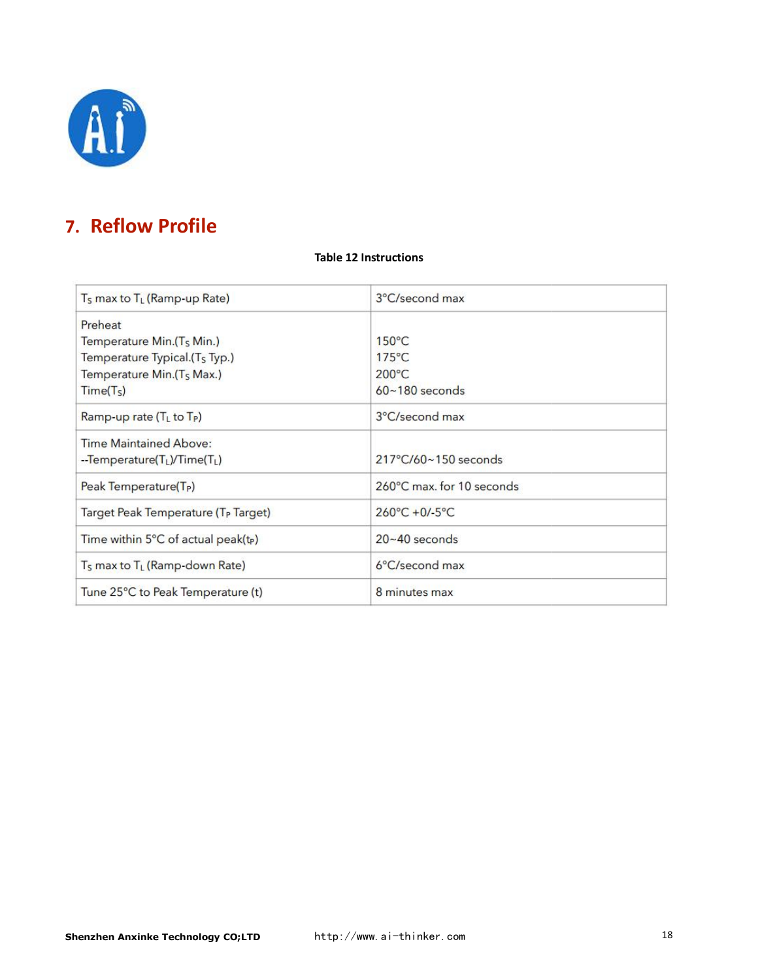

# <span id="page-17-0"></span>**7. Reflow Profile**

#### **Table 12 Instructions**

| T <sub>s</sub> max to T <sub>L</sub> (Ramp-up Rate)   | 3°C/second max                  |  |  |
|-------------------------------------------------------|---------------------------------|--|--|
| Preheat                                               |                                 |  |  |
| Temperature Min.(T <sub>S</sub> Min.)                 | $150^{\circ}$ C                 |  |  |
| Temperature Typical.(T <sub>S</sub> Typ.)             | $175^{\circ}$ C                 |  |  |
| Temperature Min.(T <sub>S</sub> Max.)                 | 200°C                           |  |  |
| Time(T <sub>S</sub> )                                 | $60 - 180$ seconds              |  |  |
| Ramp-up rate $(T_L$ to $T_P)$                         | 3°C/second max                  |  |  |
| <b>Time Maintained Above:</b>                         |                                 |  |  |
| --Temperature(TL)/Time(TL)                            | 217°C/60~150 seconds            |  |  |
| Peak Temperature(T <sub>P</sub> )                     | 260°C max. for 10 seconds       |  |  |
| Target Peak Temperature (T <sub>P</sub> Target)       | $260^{\circ}C + 0/ -5^{\circ}C$ |  |  |
| Time within 5°C of actual peak(t <sub>P</sub> )       | $20 - 40$ seconds               |  |  |
| T <sub>s</sub> max to T <sub>L</sub> (Ramp-down Rate) | 6°C/second max                  |  |  |
| Tune 25°C to Peak Temperature (t)                     | 8 minutes max                   |  |  |